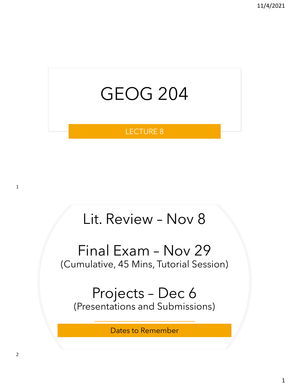

#### LECTURE 8

# Lit. Review – Nov 8

#### Final Exam – Nov 29 (Cumulative, 45 Mins, Tutorial Session)

#### Projects – Dec 6 (Presentations and Submissions)

Dates to Remember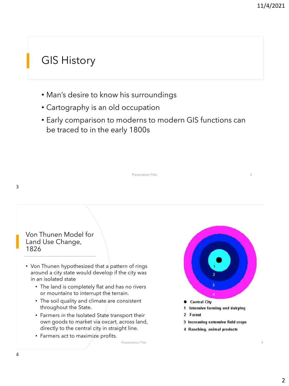#### GIS History

- Man's desire to know his surroundings
- Cartography is an old occupation
- Early comparison to moderns to modern GIS functions can be traced to in the early 1800s

3

Von Thunen Model for Land Use Change, 1826

- Von Thunen hypothesized that a pattern of rings around a city state would develop if the city was in an isolated state
	- The land is completely flat and has no rivers or mountains to interrupt the terrain.
	- The soil quality and climate are consistent throughout the State.
	- Farmers in the Isolated State transport their own goods to market via oxcart, across land, directly to the central city in straight line.

Presentation Title

• Farmers act to maximize profits.



Forest  $\overline{2}$ 

Presentation Title 3

- 3 Increasing extensive field crops
- 4 Ranching, animal products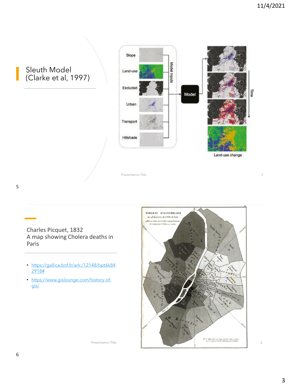Sleuth Model (Clarke et al, 1997)



Presentation Title 5

5

Charles Picquet, 1832 A map showing Cholera deaths in Paris

- [https://gallica.bnf.fr/ark:/12148/bpt6k84](https://gallica.bnf.fr/ark:/12148/bpt6k842918) 2918#
- [https://www.gislounge.com/history-of](https://www.gislounge.com/history-of-gis/)gis/

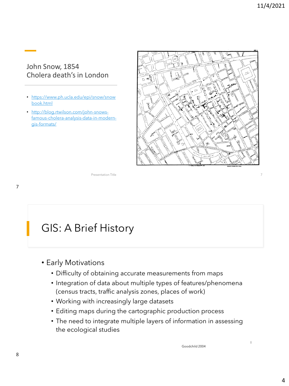#### John Snow, 1854 Cholera death's in London

- [https://www.ph.ucla.edu/epi/snow/snow](http://blog.rtwilson.com/john-snows-famous-cholera-analysis-data-in-modern-gis-formats/) book.html
- http://blog.rtwilson.com/john-snows[famous-cholera-analysis-data-in-modern](http://blog.rtwilson.com/john-snows-famous-cholera-analysis-data-in-modern-gis-formats/)gis-formats/



Presentation Title

#### GIS: A Brief History

- Early Motivations
	- Difficulty of obtaining accurate measurements from maps
	- Integration of data about multiple types of features/phenomena (census tracts, traffic analysis zones, places of work)
	- Working with increasingly large datasets
	- Editing maps during the cartographic production process
	- The need to integrate multiple layers of information in assessing the ecological studies

Goodchild 2004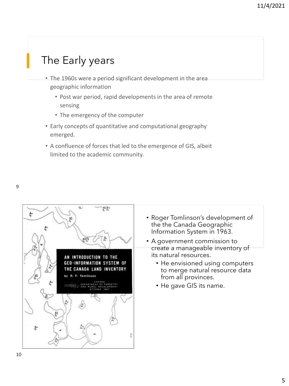## The Early years

- The 1960s were a period significant development in the area geographic information
	- Post war period, rapid developments in the area of remote sensing
	- The emergency of the computer
- Early concepts of quantitative and computational geography emerged.
- A confluence of forces that led to the emergence of GIS, albeit limited to the academic community.



- Roger Tomlinson's development of the the Canada Geographic Information System in 1963.
- A government commission to create a manageable inventory of its natural resources.
	- He envisioned using computers to merge natural resource data from all provinces.
	- He gave GIS its name.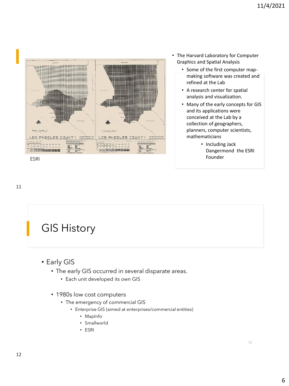



- Some of the first computer mapmaking software was created and refined at the Lab
- A research center for spatial analysis and visualization.
- Many of the early concepts for GIS and its applications were conceived at the Lab by a collection of geographers, planners, computer scientists, mathematicians
	- Including Jack Dangermond the ESRI

#### 11

## GIS History

- Early GIS
	- The early GIS occurred in several disparate areas.
		- Each unit developed its own GIS
	- 1980s low cost computers
		- The emergency of commercial GIS
			- Enterprise GIS (aimed at enterprises/commercial entities)
				- MapInfo
				- Smallworld
				- ESRI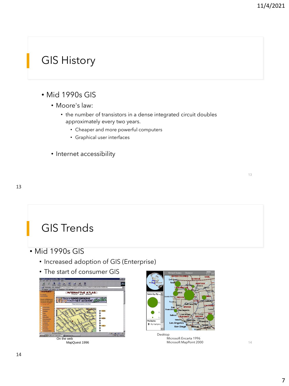## GIS History

#### • Mid 1990s GIS

- Moore's law:
	- the number of transistors in a dense integrated circuit doubles approximately every two years.
		- Cheaper and more powerful computers
		- Graphical user interfaces
- Internet accessibility

#### GIS Trends

- Mid 1990s GIS
	- Increased adoption of GIS (Enterprise)
	- The start of consumer GIS





Desktop Microsoft Encarta 1996 Microsoft MapPoint 2000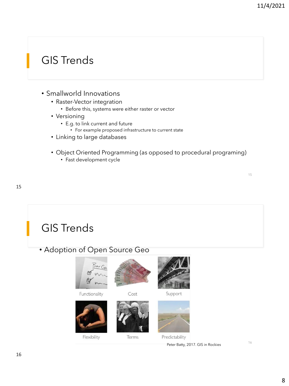15

## GIS Trends

- Smallworld Innovations
	- Raster-Vector integration
		- Before this, systems were either raster or vector
	- Versioning
		- E.g. to link current and future
			- For example proposed infrastructure to current state
	- Linking to large databases
	- Object Oriented Programming (as opposed to procedural programing)
		- Fast development cycle

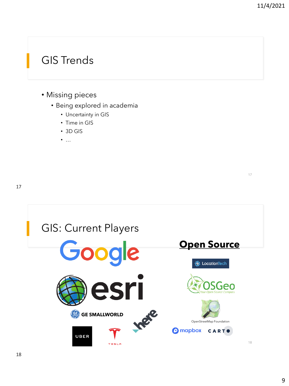17

#### GIS Trends

- Missing pieces
	- Being explored in academia
		- Uncertainty in GIS
		- Time in GIS
		- 3D GIS
		- …

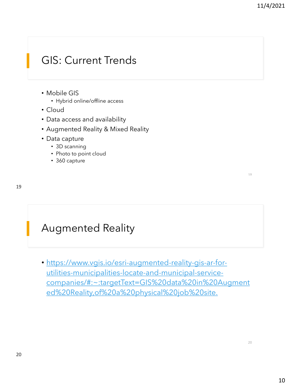#### GIS: Current Trends

- Mobile GIS
	- Hybrid online/offline access
- Cloud
- Data access and availability
- Augmented Reality & Mixed Reality
- Data capture
	- 3D scanning
	- Photo to point cloud
	- 360 capture

#### Augmented Reality

• https://www.vgis.io/esri-augmented-reality-gis-ar-forutilities-municipalities-locate-and-municipal-service[companies/#:~:targetText=GIS%20data%20in%20Augment](https://www.vgis.io/esri-augmented-reality-gis-ar-for-utilities-municipalities-locate-and-municipal-service-companies/#:~:targetText=GIS%20data%20in%20Augmented%20Reality,of%20a%20physical%20job%20site.) ed%20Reality,of%20a%20physical%20job%20site.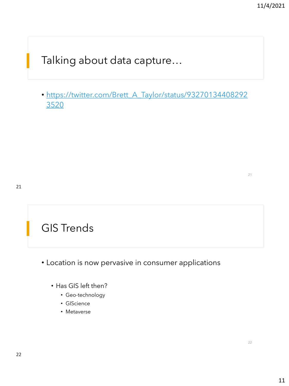Talking about data capture…

• [https://twitter.com/Brett\\_A\\_Taylor/status/93270134408292](https://twitter.com/Brett_A_Taylor/status/932701344082923520) 3520

#### GIS Trends

- Location is now pervasive in consumer applications
	- Has GIS left then?
		- Geo-technology
		- GIScience
		- Metaverse